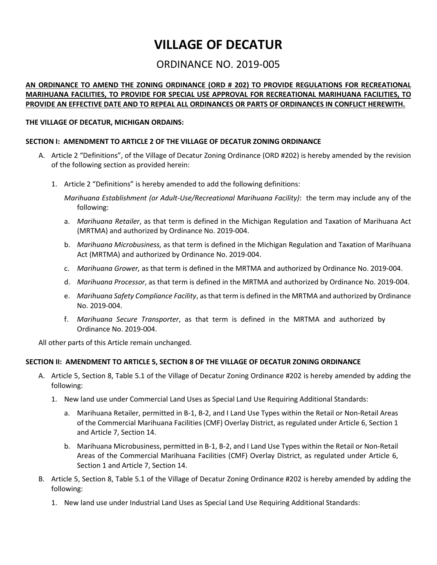# **VILLAGE OF DECATUR**

# ORDINANCE NO. 2019-005

# **AN ORDINANCE TO AMEND THE ZONING ORDINANCE (ORD # 202) TO PROVIDE REGULATIONS FOR RECREATIONAL MARIHUANA FACILITIES, TO PROVIDE FOR SPECIAL USE APPROVAL FOR RECREATIONAL MARIHUANA FACILITIES, TO PROVIDE AN EFFECTIVE DATE AND TO REPEAL ALL ORDINANCES OR PARTS OF ORDINANCES IN CONFLICT HEREWITH.**

#### **THE VILLAGE OF DECATUR, MICHIGAN ORDAINS:**

#### **SECTION I: AMENDMENT TO ARTICLE 2 OF THE VILLAGE OF DECATUR ZONING ORDINANCE**

- A. Article 2 "Definitions", of the Village of Decatur Zoning Ordinance (ORD #202) is hereby amended by the revision of the following section as provided herein:
	- 1. Article 2 "Definitions" is hereby amended to add the following definitions:

*Marihuana Establishment (or Adult-Use/Recreational Marihuana Facility)*: the term may include any of the following:

- a. *Marihuana Retailer*, as that term is defined in the Michigan Regulation and Taxation of Marihuana Act (MRTMA) and authorized by Ordinance No. 2019-004.
- b. *Marihuana Microbusiness,* as that term is defined in the Michigan Regulation and Taxation of Marihuana Act (MRTMA) and authorized by Ordinance No. 2019-004.
- c. *Marihuana Grower,* as that term is defined in the MRTMA and authorized by Ordinance No. 2019-004.
- d. *Marihuana Processor*, as that term is defined in the MRTMA and authorized by Ordinance No. 2019-004.
- e. *Marihuana Safety Compliance Facility*, as that term is defined in the MRTMA and authorized by Ordinance No. 2019-004.
- f. *Marihuana Secure Transporter*, as that term is defined in the MRTMA and authorized by Ordinance No. 2019-004.

All other parts of this Article remain unchanged.

#### **SECTION II: AMENDMENT TO ARTICLE 5, SECTION 8 OF THE VILLAGE OF DECATUR ZONING ORDINANCE**

- A. Article 5, Section 8, Table 5.1 of the Village of Decatur Zoning Ordinance #202 is hereby amended by adding the following:
	- 1. New land use under Commercial Land Uses as Special Land Use Requiring Additional Standards:
		- a. Marihuana Retailer, permitted in B-1, B-2, and I Land Use Types within the Retail or Non-Retail Areas of the Commercial Marihuana Facilities (CMF) Overlay District, as regulated under Article 6, Section 1 and Article 7, Section 14.
		- b. Marihuana Microbusiness, permitted in B-1, B-2, and I Land Use Types within the Retail or Non-Retail Areas of the Commercial Marihuana Facilities (CMF) Overlay District, as regulated under Article 6, Section 1 and Article 7, Section 14.
- B. Article 5, Section 8, Table 5.1 of the Village of Decatur Zoning Ordinance #202 is hereby amended by adding the following:
	- 1. New land use under Industrial Land Uses as Special Land Use Requiring Additional Standards: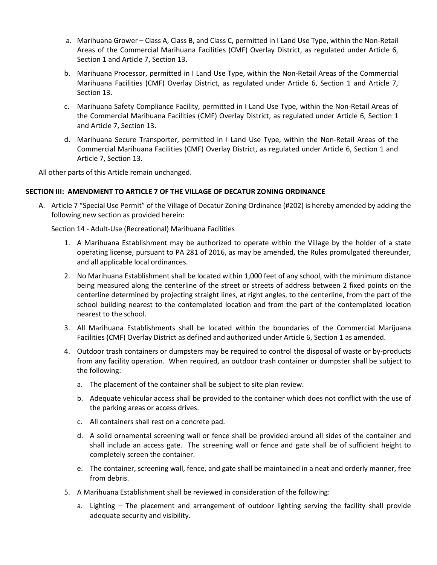- a. Marihuana Grower Class A, Class B, and Class C, permitted in I Land Use Type, within the Non-Retail Areas of the Commercial Marihuana Facilities (CMF) Overlay District, as regulated under Article 6, Section 1 and Article 7, Section 13.
- b. Marihuana Processor, permitted in I Land Use Type, within the Non-Retail Areas of the Commercial Marihuana Facilities (CMF) Overlay District, as regulated under Article 6, Section 1 and Article 7, Section 13.
- c. Marihuana Safety Compliance Facility, permitted in I Land Use Type, within the Non-Retail Areas of the Commercial Marihuana Facilities (CMF) Overlay District, as regulated under Article 6, Section 1 and Article 7, Section 13.
- d. Marihuana Secure Transporter, permitted in I Land Use Type, within the Non-Retail Areas of the Commercial Marihuana Facilities (CMF) Overlay District, as regulated under Article 6, Section 1 and Article 7, Section 13.

All other parts of this Article remain unchanged.

## **SECTION III: AMENDMENT TO ARTICLE 7 OF THE VILLAGE OF DECATUR ZONING ORDINANCE**

A. Article 7 "Special Use Permit" of the Village of Decatur Zoning Ordinance (#202) is hereby amended by adding the following new section as provided herein:

Section 14 - Adult-Use (Recreational) Marihuana Facilities

- 1. A Marihuana Establishment may be authorized to operate within the Village by the holder of a state operating license, pursuant to PA 281 of 2016, as may be amended, the Rules promulgated thereunder, and all applicable local ordinances.
- 2. No Marihuana Establishment shall be located within 1,000 feet of any school, with the minimum distance being measured along the centerline of the street or streets of address between 2 fixed points on the centerline determined by projecting straight lines, at right angles, to the centerline, from the part of the school building nearest to the contemplated location and from the part of the contemplated location nearest to the school.
- 3. All Marihuana Establishments shall be located within the boundaries of the Commercial Marijuana Facilities (CMF) Overlay District as defined and authorized under Article 6, Section 1 as amended.
- 4. Outdoor trash containers or dumpsters may be required to control the disposal of waste or by-products from any facility operation. When required, an outdoor trash container or dumpster shall be subject to the following:
	- a. The placement of the container shall be subject to site plan review.
	- b. Adequate vehicular access shall be provided to the container which does not conflict with the use of the parking areas or access drives.
	- c. All containers shall rest on a concrete pad.
	- d. A solid ornamental screening wall or fence shall be provided around all sides of the container and shall include an access gate. The screening wall or fence and gate shall be of sufficient height to completely screen the container.
	- e. The container, screening wall, fence, and gate shall be maintained in a neat and orderly manner, free from debris.
- 5. A Marihuana Establishment shall be reviewed in consideration of the following:
	- a. Lighting The placement and arrangement of outdoor lighting serving the facility shall provide adequate security and visibility.